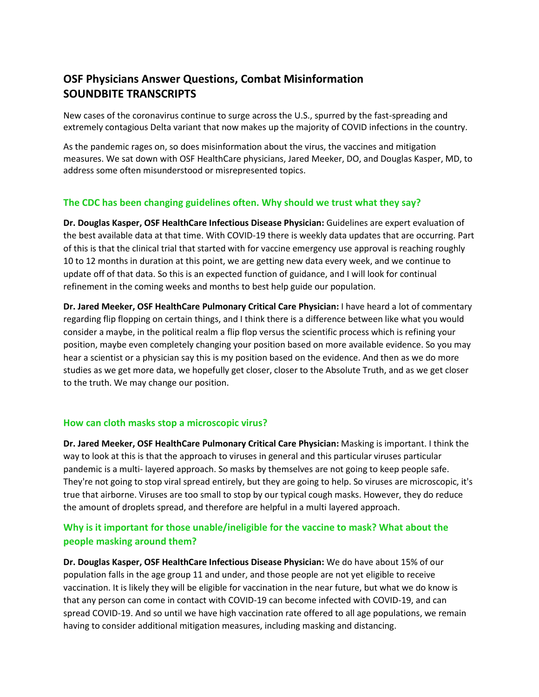# **OSF Physicians Answer Questions, Combat Misinformation SOUNDBITE TRANSCRIPTS**

New cases of the coronavirus continue to surge across the U.S., spurred by the fast-spreading and extremely contagious Delta variant that now makes up the majority of COVID infections in the country.

As the pandemic rages on, so does misinformation about the virus, the vaccines and mitigation measures. We sat down with OSF HealthCare physicians, Jared Meeker, DO, and Douglas Kasper, MD, to address some often misunderstood or misrepresented topics.

# **The CDC has been changing guidelines often. Why should we trust what they say?**

**Dr. Douglas Kasper, OSF HealthCare Infectious Disease Physician:** Guidelines are expert evaluation of the best available data at that time. With COVID-19 there is weekly data updates that are occurring. Part of this is that the clinical trial that started with for vaccine emergency use approval is reaching roughly 10 to 12 months in duration at this point, we are getting new data every week, and we continue to update off of that data. So this is an expected function of guidance, and I will look for continual refinement in the coming weeks and months to best help guide our population.

**Dr. Jared Meeker, OSF HealthCare Pulmonary Critical Care Physician:** I have heard a lot of commentary regarding flip flopping on certain things, and I think there is a difference between like what you would consider a maybe, in the political realm a flip flop versus the scientific process which is refining your position, maybe even completely changing your position based on more available evidence. So you may hear a scientist or a physician say this is my position based on the evidence. And then as we do more studies as we get more data, we hopefully get closer, closer to the Absolute Truth, and as we get closer to the truth. We may change our position.

# **How can cloth masks stop a microscopic virus?**

**Dr. Jared Meeker, OSF HealthCare Pulmonary Critical Care Physician:** Masking is important. I think the way to look at this is that the approach to viruses in general and this particular viruses particular pandemic is a multi- layered approach. So masks by themselves are not going to keep people safe. They're not going to stop viral spread entirely, but they are going to help. So viruses are microscopic, it's true that airborne. Viruses are too small to stop by our typical cough masks. However, they do reduce the amount of droplets spread, and therefore are helpful in a multi layered approach.

# **Why is it important for those unable/ineligible for the vaccine to mask? What about the people masking around them?**

**Dr. Douglas Kasper, OSF HealthCare Infectious Disease Physician:** We do have about 15% of our population falls in the age group 11 and under, and those people are not yet eligible to receive vaccination. It is likely they will be eligible for vaccination in the near future, but what we do know is that any person can come in contact with COVID-19 can become infected with COVID-19, and can spread COVID-19. And so until we have high vaccination rate offered to all age populations, we remain having to consider additional mitigation measures, including masking and distancing.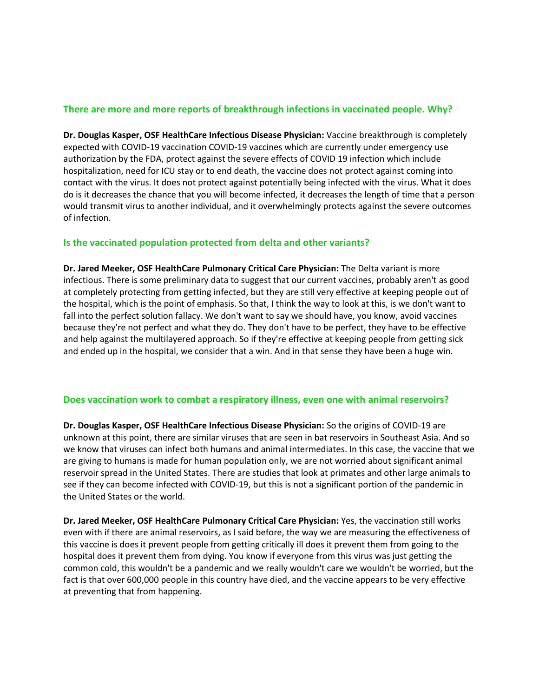# **There are more and more reports of breakthrough infections in vaccinated people. Why?**

**Dr. Douglas Kasper, OSF HealthCare Infectious Disease Physician:** Vaccine breakthrough is completely expected with COVID-19 vaccination COVID-19 vaccines which are currently under emergency use authorization by the FDA, protect against the severe effects of COVID 19 infection which include hospitalization, need for ICU stay or to end death, the vaccine does not protect against coming into contact with the virus. It does not protect against potentially being infected with the virus. What it does do is it decreases the chance that you will become infected, it decreases the length of time that a person would transmit virus to another individual, and it overwhelmingly protects against the severe outcomes of infection.

## **Is the vaccinated population protected from delta and other variants?**

**Dr. Jared Meeker, OSF HealthCare Pulmonary Critical Care Physician:** The Delta variant is more infectious. There is some preliminary data to suggest that our current vaccines, probably aren't as good at completely protecting from getting infected, but they are still very effective at keeping people out of the hospital, which is the point of emphasis. So that, I think the way to look at this, is we don't want to fall into the perfect solution fallacy. We don't want to say we should have, you know, avoid vaccines because they're not perfect and what they do. They don't have to be perfect, they have to be effective and help against the multilayered approach. So if they're effective at keeping people from getting sick and ended up in the hospital, we consider that a win. And in that sense they have been a huge win.

#### **Does vaccination work to combat a respiratory illness, even one with animal reservoirs?**

**Dr. Douglas Kasper, OSF HealthCare Infectious Disease Physician:** So the origins of COVID-19 are unknown at this point, there are similar viruses that are seen in bat reservoirs in Southeast Asia. And so we know that viruses can infect both humans and animal intermediates. In this case, the vaccine that we are giving to humans is made for human population only, we are not worried about significant animal reservoir spread in the United States. There are studies that look at primates and other large animals to see if they can become infected with COVID-19, but this is not a significant portion of the pandemic in the United States or the world.

**Dr. Jared Meeker, OSF HealthCare Pulmonary Critical Care Physician:** Yes, the vaccination still works even with if there are animal reservoirs, as I said before, the way we are measuring the effectiveness of this vaccine is does it prevent people from getting critically ill does it prevent them from going to the hospital does it prevent them from dying. You know if everyone from this virus was just getting the common cold, this wouldn't be a pandemic and we really wouldn't care we wouldn't be worried, but the fact is that over 600,000 people in this country have died, and the vaccine appears to be very effective at preventing that from happening.